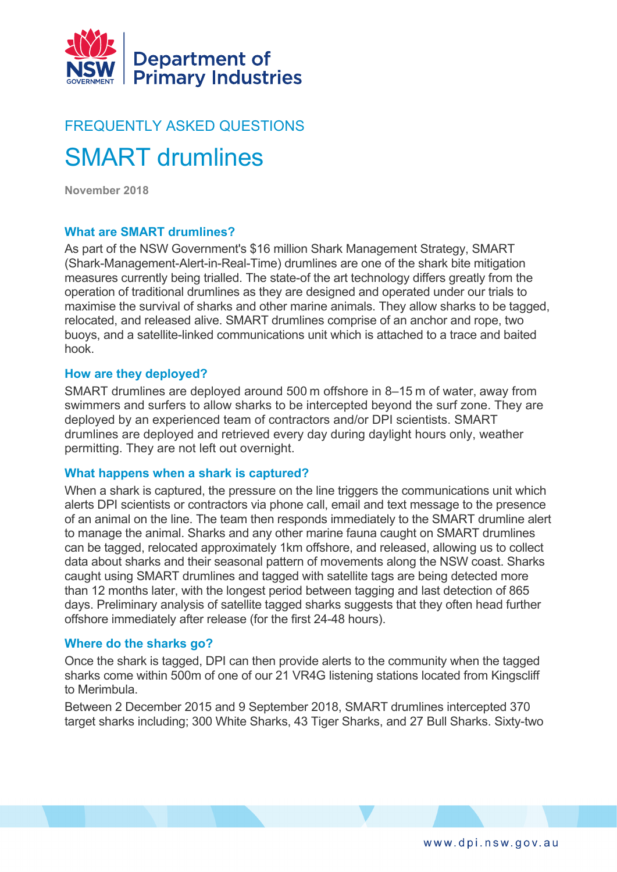

# FREQUENTLY ASKED QUESTIONS SMART drumlines

**November 2018**

# **What are SMART drumlines?**

As part of the NSW Government's \$16 million Shark Management Strategy, SMART (Shark-Management-Alert-in-Real-Time) drumlines are one of the shark bite mitigation measures currently being trialled. The state-of the art technology differs greatly from the operation of traditional drumlines as they are designed and operated under our trials to maximise the survival of sharks and other marine animals. They allow sharks to be tagged, relocated, and released alive. SMART drumlines comprise of an anchor and rope, two buoys, and a satellite-linked communications unit which is attached to a trace and baited hook.

# **How are they deployed?**

SMART drumlines are deployed around 500 m offshore in 8–15 m of water, away from swimmers and surfers to allow sharks to be intercepted beyond the surf zone. They are deployed by an experienced team of contractors and/or DPI scientists. SMART drumlines are deployed and retrieved every day during daylight hours only, weather permitting. They are not left out overnight.

## **What happens when a shark is captured?**

When a shark is captured, the pressure on the line triggers the communications unit which alerts DPI scientists or contractors via phone call, email and text message to the presence of an animal on the line. The team then responds immediately to the SMART drumline alert to manage the animal. Sharks and any other marine fauna caught on SMART drumlines can be tagged, relocated approximately 1km offshore, and released, allowing us to collect data about sharks and their seasonal pattern of movements along the NSW coast. Sharks caught using SMART drumlines and tagged with satellite tags are being detected more than 12 months later, with the longest period between tagging and last detection of 865 days. Preliminary analysis of satellite tagged sharks suggests that they often head further offshore immediately after release (for the first 24-48 hours).

# **Where do the sharks go?**

Once the shark is tagged, DPI can then provide alerts to the community when the tagged sharks come within 500m of one of our 21 VR4G listening stations located from Kingscliff to Merimbula.

Between 2 December 2015 and 9 September 2018, SMART drumlines intercepted 370 target sharks including; 300 White Sharks, 43 Tiger Sharks, and 27 Bull Sharks. Sixty-two

www.dpi.nsw.gov.au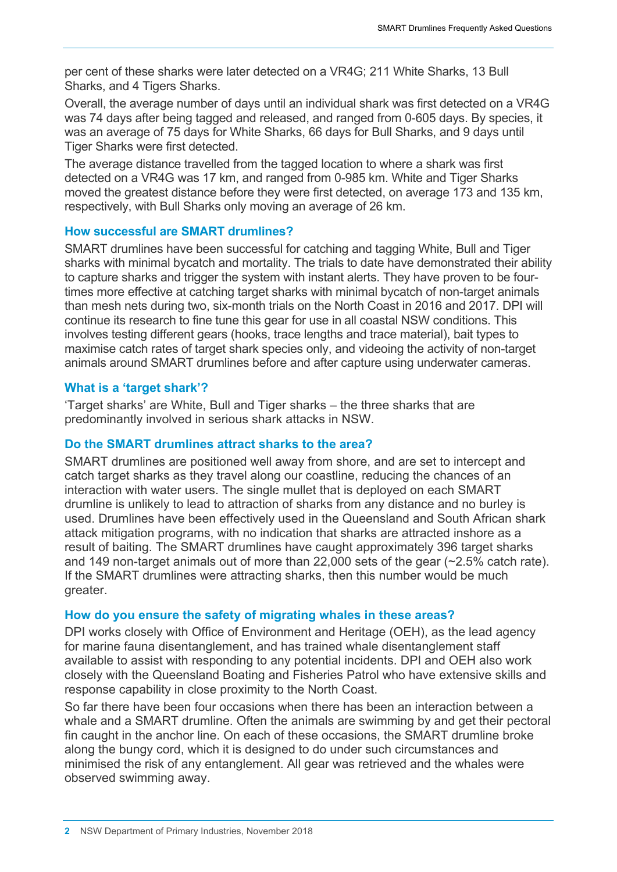per cent of these sharks were later detected on a VR4G; 211 White Sharks, 13 Bull Sharks, and 4 Tigers Sharks.

Overall, the average number of days until an individual shark was first detected on a VR4G was 74 days after being tagged and released, and ranged from 0-605 days. By species, it was an average of 75 days for White Sharks, 66 days for Bull Sharks, and 9 days until Tiger Sharks were first detected.

The average distance travelled from the tagged location to where a shark was first detected on a VR4G was 17 km, and ranged from 0-985 km. White and Tiger Sharks moved the greatest distance before they were first detected, on average 173 and 135 km, respectively, with Bull Sharks only moving an average of 26 km.

# **How successful are SMART drumlines?**

SMART drumlines have been successful for catching and tagging White, Bull and Tiger sharks with minimal bycatch and mortality. The trials to date have demonstrated their ability to capture sharks and trigger the system with instant alerts. They have proven to be fourtimes more effective at catching target sharks with minimal bycatch of non-target animals than mesh nets during two, six-month trials on the North Coast in 2016 and 2017. DPI will continue its research to fine tune this gear for use in all coastal NSW conditions. This involves testing different gears (hooks, trace lengths and trace material), bait types to maximise catch rates of target shark species only, and videoing the activity of non-target animals around SMART drumlines before and after capture using underwater cameras.

# **What is a 'target shark'?**

'Target sharks' are White, Bull and Tiger sharks – the three sharks that are predominantly involved in serious shark attacks in NSW.

## **Do the SMART drumlines attract sharks to the area?**

SMART drumlines are positioned well away from shore, and are set to intercept and catch target sharks as they travel along our coastline, reducing the chances of an interaction with water users. The single mullet that is deployed on each SMART drumline is unlikely to lead to attraction of sharks from any distance and no burley is used. Drumlines have been effectively used in the Queensland and South African shark attack mitigation programs, with no indication that sharks are attracted inshore as a result of baiting. The SMART drumlines have caught approximately 396 target sharks and 149 non-target animals out of more than 22,000 sets of the gear (~2.5% catch rate). If the SMART drumlines were attracting sharks, then this number would be much greater.

## **How do you ensure the safety of migrating whales in these areas?**

DPI works closely with Office of Environment and Heritage (OEH), as the lead agency for marine fauna disentanglement, and has trained whale disentanglement staff available to assist with responding to any potential incidents. DPI and OEH also work closely with the Queensland Boating and Fisheries Patrol who have extensive skills and response capability in close proximity to the North Coast.

So far there have been four occasions when there has been an interaction between a whale and a SMART drumline. Often the animals are swimming by and get their pectoral fin caught in the anchor line. On each of these occasions, the SMART drumline broke along the bungy cord, which it is designed to do under such circumstances and minimised the risk of any entanglement. All gear was retrieved and the whales were observed swimming away.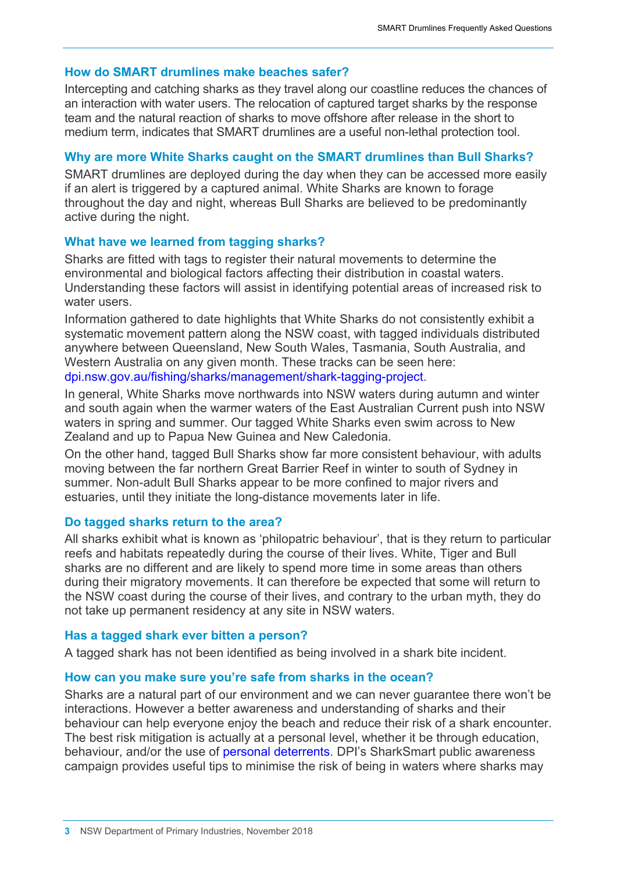# **How do SMART drumlines make beaches safer?**

Intercepting and catching sharks as they travel along our coastline reduces the chances of an interaction with water users. The relocation of captured target sharks by the response team and the natural reaction of sharks to move offshore after release in the short to medium term, indicates that SMART drumlines are a useful non-lethal protection tool.

# **Why are more White Sharks caught on the SMART drumlines than Bull Sharks?**

SMART drumlines are deployed during the day when they can be accessed more easily if an alert is triggered by a captured animal. White Sharks are known to forage throughout the day and night, whereas Bull Sharks are believed to be predominantly active during the night.

# **What have we learned from tagging sharks?**

Sharks are fitted with tags to register their natural movements to determine the environmental and biological factors affecting their distribution in coastal waters. Understanding these factors will assist in identifying potential areas of increased risk to water users.

Information gathered to date highlights that White Sharks do not consistently exhibit a systematic movement pattern along the NSW coast, with tagged individuals distributed anywhere between Queensland, New South Wales, Tasmania, South Australia, and Western Australia on any given month. These tracks can be seen here: [dpi.nsw.gov.au/fishing/sharks/management/shark-tagging-project.](https://www.dpi.nsw.gov.au/fishing/sharks/management/shark-tagging-project)

In general, White Sharks move northwards into NSW waters during autumn and winter and south again when the warmer waters of the East Australian Current push into NSW waters in spring and summer. Our tagged White Sharks even swim across to New Zealand and up to Papua New Guinea and New Caledonia.

On the other hand, tagged Bull Sharks show far more consistent behaviour, with adults moving between the far northern Great Barrier Reef in winter to south of Sydney in summer. Non-adult Bull Sharks appear to be more confined to major rivers and estuaries, until they initiate the long-distance movements later in life.

# **Do tagged sharks return to the area?**

All sharks exhibit what is known as 'philopatric behaviour', that is they return to particular reefs and habitats repeatedly during the course of their lives. White, Tiger and Bull sharks are no different and are likely to spend more time in some areas than others during their migratory movements. It can therefore be expected that some will return to the NSW coast during the course of their lives, and contrary to the urban myth, they do not take up permanent residency at any site in NSW waters.

## **Has a tagged shark ever bitten a person?**

A tagged shark has not been identified as being involved in a shark bite incident.

## **How can you make sure you're safe from sharks in the ocean?**

Sharks are a natural part of our environment and we can never guarantee there won't be interactions. However a better awareness and understanding of sharks and their behaviour can help everyone enjoy the beach and reduce their risk of a shark encounter. The best risk mitigation is actually at a personal level, whether it be through education, behaviour, and/or the use of [personal deterrents.](https://www.dpi.nsw.gov.au/__data/assets/pdf_file/0007/815164/Shark-response-to-personal-deterrents_Flinders.pdf) DPI's SharkSmart public awareness campaign provides useful tips to minimise the risk of being in waters where sharks may